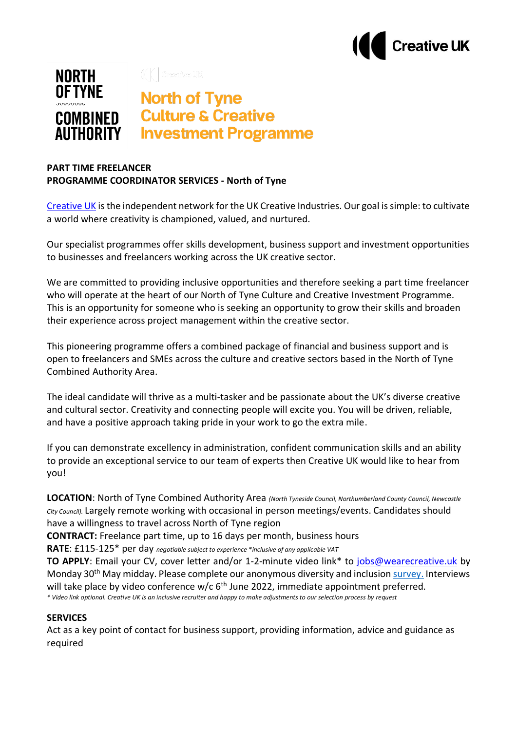



## **PART TIME FREELANCER PROGRAMME COORDINATOR SERVICES - North of Tyne**

[Creative UK](https://www.wearecreative.uk/) is the independent network for the UK Creative Industries. Our goal is simple: to cultivate a world where creativity is championed, valued, and nurtured.

Our specialist programmes offer skills development, business support and investment opportunities to businesses and freelancers working across the UK creative sector.

We are committed to providing inclusive opportunities and therefore seeking a part time freelancer who will operate at the heart of our North of Tyne Culture and Creative Investment Programme. This is an opportunity for someone who is seeking an opportunity to grow their skills and broaden their experience across project management within the creative sector.

This pioneering programme offers a combined package of financial and business support and is open to freelancers and SMEs across the culture and creative sectors based in the North of Tyne Combined Authority Area.

The ideal candidate will thrive as a multi-tasker and be passionate about the UK's diverse creative and cultural sector. Creativity and connecting people will excite you. You will be driven, reliable, and have a positive approach taking pride in your work to go the extra mile.

If you can demonstrate excellency in administration, confident communication skills and an ability to provide an exceptional service to our team of experts then Creative UK would like to hear from you!

**LOCATION**: North of Tyne Combined Authority Area *(North Tyneside Council, Northumberland County Council, Newcastle City Council).* Largely remote working with occasional in person meetings/events. Candidates should have a willingness to travel across North of Tyne region

**CONTRACT:** Freelance part time, up to 16 days per month, business hours

**RATE**: £115-125\* per day *negotiable subject to experience \*inclusive of any applicable VAT*

**TO APPLY**: Email your CV, cover letter and/or 1-2-minute video link\* to [jobs@wearecreative.uk](mailto:jobs@wearecreative.uk) by Monday 30<sup>th</sup> May midday. Please complete our anonymous diversity and inclusion [survey.](https://www.surveymonkey.co.uk/r/F8KJTP2) Interviews will take place by video conference w/c 6<sup>th</sup> June 2022, immediate appointment preferred. *\* Video link optional. Creative UK is an inclusive recruiter and happy to make adjustments to our selection process by request*

## **SERVICES**

Act as a key point of contact for business support, providing information, advice and guidance as required